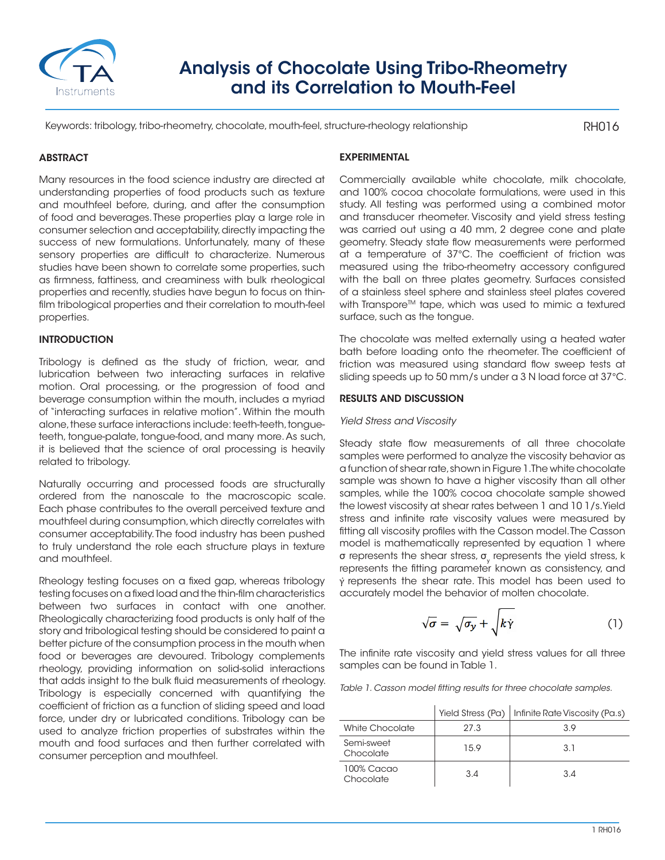

# Analysis of Chocolate Using Tribo-Rheometry and its Correlation to Mouth-Feel

Keywords: tribology, tribo-rheometry, chocolate, mouth-feel, structure-rheology relationship

RH016

## **ABSTRACT**

Many resources in the food science industry are directed at understanding properties of food products such as texture and mouthfeel before, during, and after the consumption of food and beverages. These properties play a large role in consumer selection and acceptability, directly impacting the success of new formulations. Unfortunately, many of these sensory properties are difficult to characterize. Numerous studies have been shown to correlate some properties, such as firmness, fattiness, and creaminess with bulk rheological properties and recently, studies have begun to focus on thinfilm tribological properties and their correlation to mouth-feel properties.

### **INTRODUCTION**

Tribology is defined as the study of friction, wear, and lubrication between two interacting surfaces in relative motion. Oral processing, or the progression of food and beverage consumption within the mouth, includes a myriad of "interacting surfaces in relative motion". Within the mouth alone, these surface interactions include: teeth-teeth, tongueteeth, tongue-palate, tongue-food, and many more. As such, it is believed that the science of oral processing is heavily related to tribology.

Naturally occurring and processed foods are structurally ordered from the nanoscale to the macroscopic scale. Each phase contributes to the overall perceived texture and mouthfeel during consumption, which directly correlates with consumer acceptability. The food industry has been pushed to truly understand the role each structure plays in texture and mouthfeel.

Rheology testing focuses on a fixed gap, whereas tribology testing focuses on a fixed load and the thin-film characteristics between two surfaces in contact with one another. Rheologically characterizing food products is only half of the story and tribological testing should be considered to paint a better picture of the consumption process in the mouth when food or beverages are devoured. Tribology complements rheology, providing information on solid-solid interactions that adds insight to the bulk fluid measurements of rheology. Tribology is especially concerned with quantifying the coefficient of friction as a function of sliding speed and load force, under dry or lubricated conditions. Tribology can be used to analyze friction properties of substrates within the mouth and food surfaces and then further correlated with consumer perception and mouthfeel.

## EXPERIMENTAL

Commercially available white chocolate, milk chocolate, and 100% cocoa chocolate formulations, were used in this study. All testing was performed using a combined motor and transducer rheometer. Viscosity and yield stress testing was carried out using a 40 mm, 2 degree cone and plate geometry. Steady state flow measurements were performed at a temperature of 37°C. The coefficient of friction was measured using the tribo-rheometry accessory configured with the ball on three plates geometry. Surfaces consisted of a stainless steel sphere and stainless steel plates covered with Transpore™ tape, which was used to mimic a textured surface, such as the tongue.

The chocolate was melted externally using a heated water bath before loading onto the rheometer. The coefficient of friction was measured using standard flow sweep tests at sliding speeds up to 50 mm/s under a 3 N load force at 37°C.

#### RESULTS AND DISCUSSION

#### *Yield Stress and Viscosity*

Steady state flow measurements of all three chocolate samples were performed to analyze the viscosity behavior as a function of shear rate, shown in Figure 1. The white chocolate sample was shown to have a higher viscosity than all other samples, while the 100% cocoa chocolate sample showed the lowest viscosity at shear rates between 1 and 10 1/s. Yield stress and infinite rate viscosity values were measured by fitting all viscosity profiles with the Casson model. The Casson model is mathematically represented by equation 1 where  $\sigma$  represents the shear stress,  $\sigma_{_{\!y}}$  represents the yield stress, k represents the fitting parameter known as consistency, and  $\dot{v}$  represents the shear rate. This model has been used to accurately model the behavior of molten chocolate.

$$
\sqrt{\sigma} = \sqrt{\sigma_y} + \sqrt{k\dot{\gamma}}
$$
 (1)

The infinite rate viscosity and yield stress values for all three samples can be found in Table 1.

*Table 1. Casson model fitting results for three chocolate samples.*

|                         |      | Yield Stress (Pa)   Infinite Rate Viscosity (Pa.s) |
|-------------------------|------|----------------------------------------------------|
| White Chocolate         | 27.3 | 3 Q                                                |
| Semi-sweet<br>Chocolate | 15.9 | 3.1                                                |
| 100% Cacao<br>Chocolate | 3.4  | 3.4                                                |